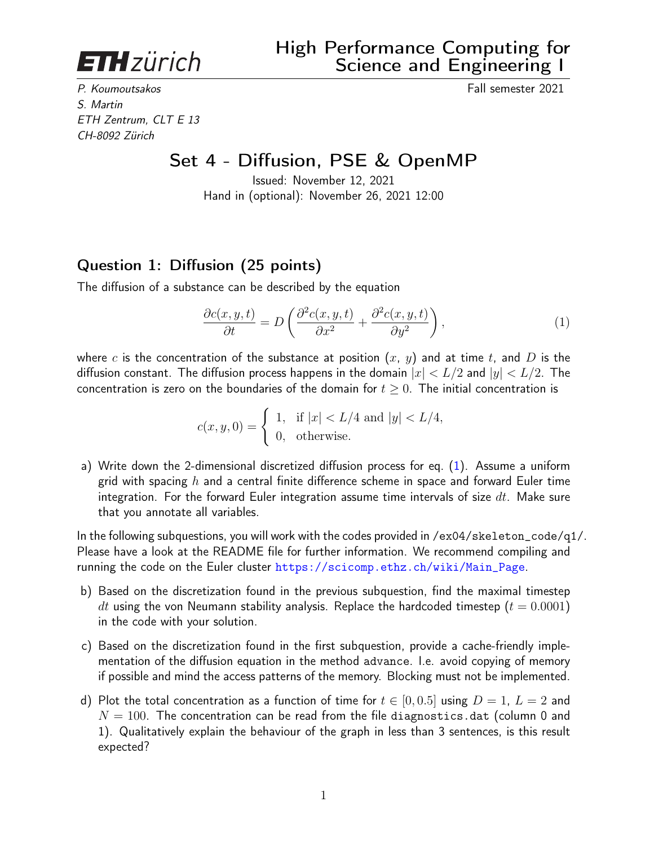<span id="page-0-1"></span>**ETH**zürich

P. Koumoutsakos Fall semester 2021 S. Martin ETH Zentrum, CLT E 13 CH-8092 Zürich

## Set 4 - Diffusion, PSE & OpenMP

Issued: November 12, 2021 Hand in (optional): November 26, 2021 12:00

## Question 1: Diffusion (25 points)

The diffusion of a substance can be described by the equation

<span id="page-0-0"></span>
$$
\frac{\partial c(x, y, t)}{\partial t} = D \left( \frac{\partial^2 c(x, y, t)}{\partial x^2} + \frac{\partial^2 c(x, y, t)}{\partial y^2} \right),\tag{1}
$$

where c is the concentration of the substance at position  $(x, y)$  and at time t, and D is the diffusion constant. The diffusion process happens in the domain  $|x| < L/2$  and  $|y| < L/2$ . The concentration is zero on the boundaries of the domain for  $t \geq 0$ . The initial concentration is

$$
c(x, y, 0) = \begin{cases} 1, & \text{if } |x| < L/4 \text{ and } |y| < L/4, \\ 0, & \text{otherwise.} \end{cases}
$$

a) Write down the 2-dimensional discretized diffusion process for eq. [\(1\)](#page-0-0). Assume a uniform grid with spacing  $h$  and a central finite difference scheme in space and forward Euler time integration. For the forward Euler integration assume time intervals of size  $dt$ . Make sure that you annotate all variables.

In the following subquestions, you will work with the codes provided in /ex04/skeleton\_code/q1/. Please have a look at the README file for further information. We recommend compiling and running the code on the Euler cluster [https://scicomp.ethz.ch/wiki/Main\\_Page](https://scicomp.ethz.ch/wiki/Main_Page).

- b) Based on the discretization found in the previous subquestion, find the maximal timestep dt using the von Neumann stability analysis. Replace the hardcoded timestep ( $t = 0.0001$ ) in the code with your solution.
- c) Based on the discretization found in the first subquestion, provide a cache-friendly implementation of the diffusion equation in the method advance. I.e. avoid copying of memory if possible and mind the access patterns of the memory. Blocking must not be implemented.
- d) Plot the total concentration as a function of time for  $t \in [0, 0.5]$  using  $D = 1$ ,  $L = 2$  and  $N = 100$ . The concentration can be read from the file diagnostics.dat (column 0 and 1). Qualitatively explain the behaviour of the graph in less than 3 sentences, is this result expected?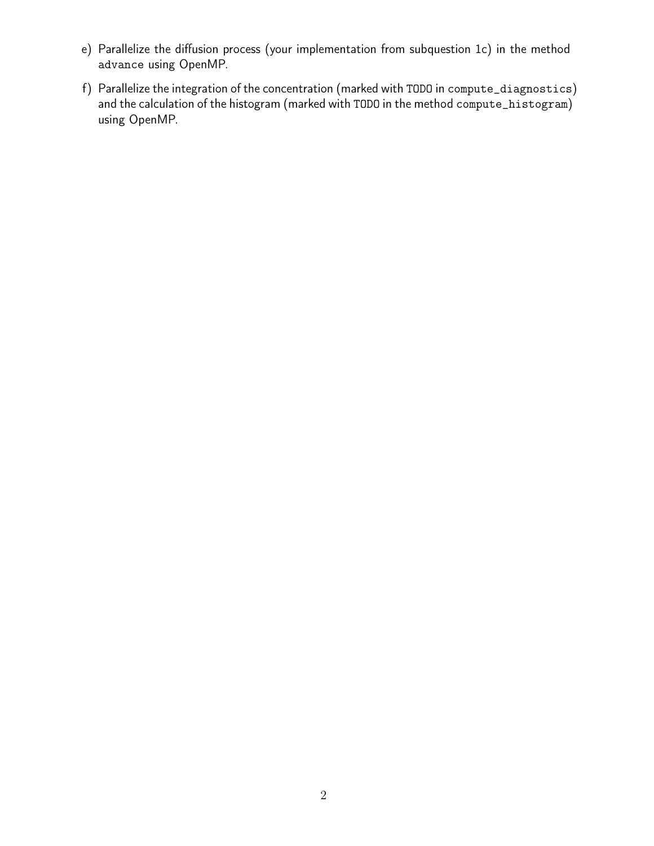- e) Parallelize the diffusion process (your implementation from subquestion 1c) in the method advance using OpenMP.
- f) Parallelize the integration of the concentration (marked with TODO in compute\_diagnostics) and the calculation of the histogram (marked with TODO in the method compute\_histogram) using OpenMP.